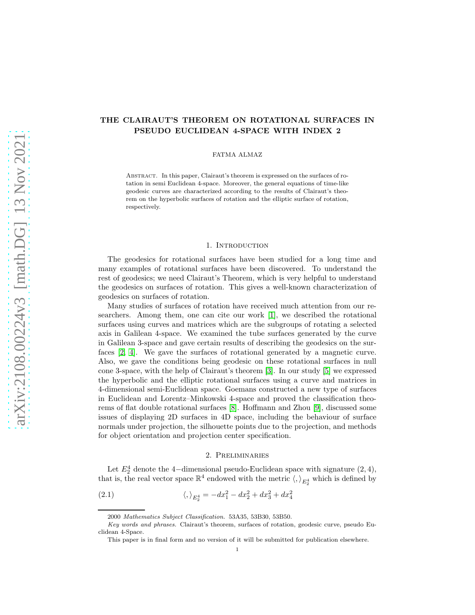# THE CLAIRAUT'S THEOREM ON ROTATIONAL SURFACES IN PSEUDO EUCLIDEAN 4-SPACE WITH INDEX 2

FATMA ALMAZ

Abstract. In this paper, Clairaut's theorem is expressed on the surfaces of rotation in semi Euclidean 4-space. Moreover, the general equations of time-like geodesic curves are characterized according to the results of Clairaut's theorem on the hyperbolic surfaces of rotation and the elliptic surface of rotation, respectively.

### 1. INTRODUCTION

The geodesics for rotational surfaces have been studied for a long time and many examples of rotational surfaces have been discovered. To understand the rest of geodesics; we need Clairaut's Theorem, which is very helpful to understand the geodesics on surfaces of rotation. This gives a well-known characterization of geodesics on surfaces of rotation.

Many studies of surfaces of rotation have received much attention from our researchers. Among them, one can cite our work [\[1\]](#page-11-0), we described the rotational surfaces using curves and matrices which are the subgroups of rotating a selected axis in Galilean 4-space. We examined the tube surfaces generated by the curve in Galilean 3-space and gave certain results of describing the geodesics on the surfaces [\[2,](#page-11-1) [4\]](#page-11-2). We gave the surfaces of rotational generated by a magnetic curve. Also, we gave the conditions being geodesic on these rotational surfaces in null cone 3-space, with the help of Clairaut's theorem [\[3\]](#page-11-3). In our study [\[5\]](#page-11-4) we expressed the hyperbolic and the elliptic rotational surfaces using a curve and matrices in 4-dimensional semi-Euclidean space. Goemans constructed a new type of surfaces in Euclidean and Lorentz–Minkowski 4-space and proved the classification theorems of flat double rotational surfaces [\[8\]](#page-11-5). Hoffmann and Zhou [\[9\]](#page-11-6), discussed some issues of displaying 2D surfaces in 4D space, including the behaviour of surface normals under projection, the silhouette points due to the projection, and methods for object orientation and projection center specification.

#### 2. Preliminaries

Let  $E_2^4$  denote the 4-dimensional pseudo-Euclidean space with signature  $(2, 4)$ , that is, the real vector space  $\mathbb{R}^4$  endowed with the metric  $\langle, \rangle_{E_2^4}$  which is defined by

(2.1) 
$$
\langle , \rangle_{E_2^4} = -dx_1^2 - dx_2^2 + dx_3^2 + dx_4^2
$$

<sup>2000</sup> Mathematics Subject Classification. 53A35, 53B30, 53B50.

Key words and phrases. Clairaut's theorem, surfaces of rotation, geodesic curve, pseudo Euclidean 4-Space.

This paper is in final form and no version of it will be submitted for publication elsewhere.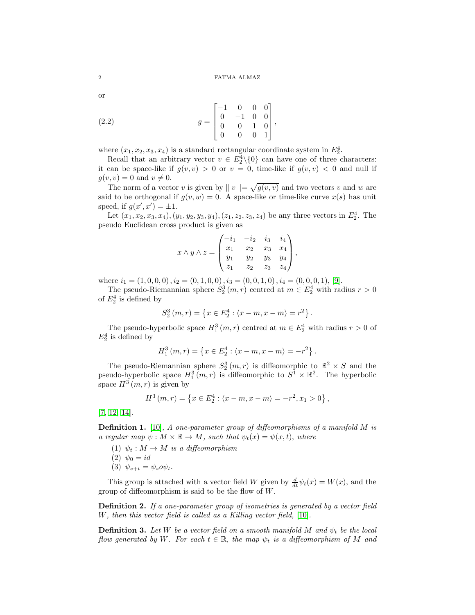or

(2.2) 
$$
g = \begin{bmatrix} -1 & 0 & 0 & 0 \\ 0 & -1 & 0 & 0 \\ 0 & 0 & 1 & 0 \\ 0 & 0 & 0 & 1 \end{bmatrix},
$$

where  $(x_1, x_2, x_3, x_4)$  is a standard rectangular coordinate system in  $E_2^4$ .

Recall that an arbitrary vector  $v \in E_2^4 \setminus \{0\}$  can have one of three characters: it can be space-like if  $g(v, v) > 0$  or  $v = 0$ , time-like if  $g(v, v) < 0$  and null if  $g(v, v) = 0$  and  $v \neq 0$ .

The norm of a vector v is given by  $||v|| = \sqrt{g(v, v)}$  and two vectors v and w are said to be orthogonal if  $g(v, w) = 0$ . A space-like or time-like curve  $x(s)$  has unit speed, if  $g(x', x') = \pm 1$ .

Let  $(x_1, x_2, x_3, x_4), (y_1, y_2, y_3, y_4), (z_1, z_2, z_3, z_4)$  be any three vectors in  $E_2^4$ . The pseudo Euclidean cross product is given as

$$
x \wedge y \wedge z = \begin{pmatrix} -i_1 & -i_2 & i_3 & i_4 \\ x_1 & x_2 & x_3 & x_4 \\ y_1 & y_2 & y_3 & y_4 \\ z_1 & z_2 & z_3 & z_4 \end{pmatrix},
$$

where  $i_1 = (1, 0, 0, 0), i_2 = (0, 1, 0, 0), i_3 = (0, 0, 1, 0), i_4 = (0, 0, 0, 1),$  [\[9\]](#page-11-6).

The pseudo-Riemannian sphere  $S_2^3(m,r)$  centred at  $m \in E_2^4$  with radius  $r > 0$ of  $E_2^4$  is defined by

$$
S_2^3(m,r) = \{x \in E_2^4 : \langle x - m, x - m \rangle = r^2\}.
$$

The pseudo-hyperbolic space  $H_1^3(m,r)$  centred at  $m \in E_2^4$  with radius  $r > 0$  of  $E_2^4$  is defined by

$$
H_1^3(m,r) = \{ x \in E_2^4 : \langle x - m, x - m \rangle = -r^2 \}.
$$

The pseudo-Riemannian sphere  $S_2^3(m,r)$  is diffeomorphic to  $\mathbb{R}^2 \times S$  and the pseudo-hyperbolic space  $H_1^3(m,r)$  is diffeomorphic to  $S^1 \times \mathbb{R}^2$ . The hyperbolic space  $H^3(m,r)$  is given by

$$
H^{3}(m,r) = \{x \in E_{2}^{4} : \langle x - m, x - m \rangle = -r^{2}, x_{1} > 0\},\,
$$

[\[7,](#page-11-7) [12,](#page-11-8) [14\]](#page-11-9).

**Definition 1.** [\[10\]](#page-11-10), A one-parameter group of diffeomorphisms of a manifold  $M$  is a regular map  $\psi : M \times \mathbb{R} \to M$ , such that  $\psi_t(x) = \psi(x, t)$ , where

- (1)  $\psi_t : M \to M$  is a diffeomorphism (2)  $\psi_0 = id$
- (3)  $\psi_{s+t} = \psi_s o \psi_t$ .

This group is attached with a vector field W given by  $\frac{d}{dt}\psi_t(x) = W(x)$ , and the group of diffeomorphism is said to be the flow of  $W$ .

Definition 2. If a one-parameter group of isometries is generated by a vector field W, then this vector field is called as a Killing vector field, [\[10\]](#page-11-10).

**Definition 3.** Let W be a vector field on a smooth manifold M and  $\psi_t$  be the local flow generated by W. For each  $t \in \mathbb{R}$ , the map  $\psi_t$  is a diffeomorphism of M and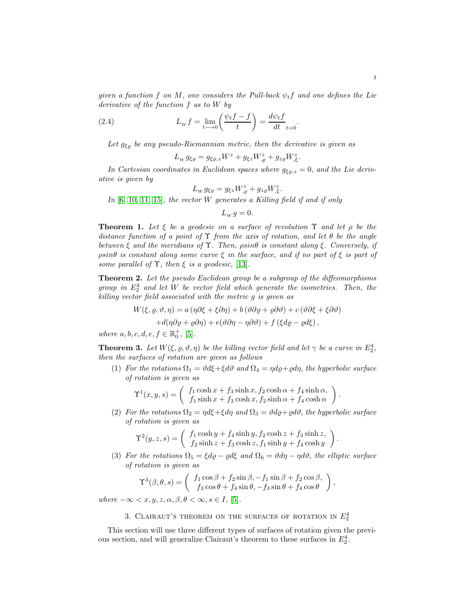given a function f on M, one considers the Pull-back  $\psi_t f$  and one defines the Lie derivative of the function f as to W by

(2.4) 
$$
L_w f = \lim_{t \to 0} \left( \frac{\psi_t f - f}{t} \right) = \frac{d \psi_t f}{dt}_{t=0}
$$

Let  $g_{\xi\varrho}$  be any pseudo-Riemannian metric, then the derivative is given as

$$
L_W g_{\xi\varrho} = g_{\xi\varrho,z} W^z + g_{\xi z} W^z_{,\varrho} + g_{z\varrho} W^z_{,\xi}.
$$

In Cartesian coordinates in Euclidean spaces where  $g_{\xi\rho,z} = 0$ , and the Lie derivative is given by

$$
L_w g_{\xi\varrho} = g_{\xi z} W_{,\varrho}^z + g_{z\varrho} W_{,\xi}^z.
$$

In  $[6, 10, 11, 15]$  $[6, 10, 11, 15]$  $[6, 10, 11, 15]$  $[6, 10, 11, 15]$ , the vector W generates a Killing field if and if only

 $L_w g = 0.$ 

**Theorem 1.** Let  $\xi$  be a geodesic on a surface of revolution  $\Upsilon$  and let  $\rho$  be the distance function of a point of  $\Upsilon$  from the axis of rotation, and let  $\theta$  be the angle between  $\xi$  and the meridians of  $\Upsilon$ . Then,  $\rho \sin \theta$  is constant along  $\xi$ . Conversely, if  $\rho \sin\theta$  is constant along some curve  $\xi$  in the surface, and if no part of  $\xi$  is part of some parallel of  $\Upsilon$ , then  $\xi$  is a geodesic, [\[13\]](#page-11-14).

Theorem 2. Let the pseudo Euclidean group be a subgroup of the diffeomorphisms group in  $E_2^4$  and let W be vector field which generate the isometries. Then, the killing vector field associated with the metric g is given as

$$
W(\xi, \varrho, \vartheta, \eta) = a(\eta \partial \xi + \xi \partial \eta) + b(\vartheta \partial \varrho + \varrho \partial \vartheta) + c(\vartheta \partial \xi + \xi \partial \vartheta)
$$

$$
+ d(\eta \partial \varrho + \varrho \partial \eta) + e(\vartheta \partial \eta - \eta \partial \vartheta) + f(\xi d\varrho - \varrho d\xi),
$$

where  $a, b, c, d, e, f \in \mathbb{R}_0^+$ , [\[5\]](#page-11-4).

**Theorem 3.** Let  $W(\xi, \varrho, \vartheta, \eta)$  be the killing vector field and let  $\gamma$  be a curve in  $E_2^4$ , then the surfaces of rotation are given as follows

(1) For the rotations  $\Omega_1 = \vartheta d\xi + \xi d\vartheta$  and  $\Omega_4 = \eta d\varrho + \varrho d\eta$ , the hyperbolic surface of rotation is given as

$$
\Upsilon^{1}(x, y, s) = \begin{pmatrix} f_{1} \cosh x + f_{3} \sinh x, f_{2} \cosh \alpha + f_{4} \sinh \alpha, \\ f_{1} \sinh x + f_{3} \cosh x, f_{2} \sinh \alpha + f_{4} \cosh \alpha \end{pmatrix}
$$

(2) For the rotations  $\Omega_2 = \eta d\xi + \xi d\eta$  and  $\Omega_3 = \vartheta d\varrho + \varrho d\vartheta$ , the hyperbolic surface of rotation is given as

$$
\Upsilon^{2}(y,z,s) = \begin{pmatrix} f_1 \cosh y + f_4 \sinh y, f_2 \cosh z + f_3 \sinh z, \\ f_2 \sinh z + f_3 \cosh z, f_1 \sinh y + f_4 \cosh y \end{pmatrix}
$$

(3) For the rotations  $\Omega_5 = \xi d\varrho - \varrho d\xi$  and  $\Omega_6 = \vartheta d\eta - \eta d\vartheta$ , the elliptic surface of rotation is given as

$$
\Upsilon^3(\beta,\theta,s) = \begin{pmatrix} f_1 \cos \beta + f_2 \sin \beta, -f_1 \sin \beta + f_2 \cos \beta, \\ f_3 \cos \theta + f_4 \sin \theta, -f_3 \sin \theta + f_4 \cos \theta \end{pmatrix},
$$

where  $-\infty < x, y, z, \alpha, \beta, \theta < \infty, s \in I$ , [\[5\]](#page-11-4).

# 3. CLAIRAUT'S THEOREM ON THE SURFACES OF ROTATION IN  $E_2^4$

This section will use three different types of surfaces of rotation given the previous section, and will generalize Clairaut's theorem to these surfaces in  $E_2^4$ .

.

.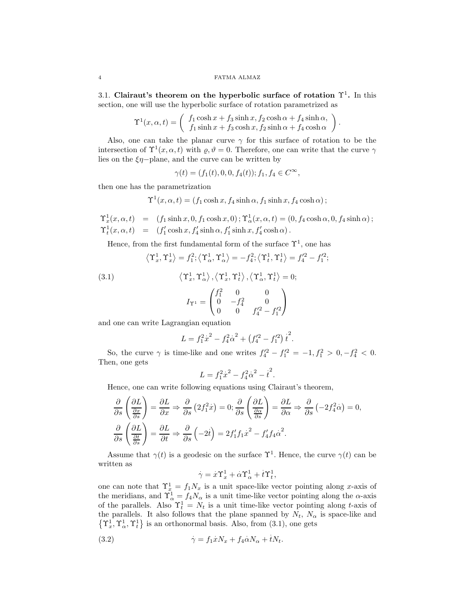3.1. Clairaut's theorem on the hyperbolic surface of rotation  $\Upsilon^1$ . In this section, one will use the hyperbolic surface of rotation parametrized as

$$
\Upsilon^{1}(x,\alpha,t) = \begin{pmatrix} f_{1}\cosh x + f_{3}\sinh x, f_{2}\cosh \alpha + f_{4}\sinh \alpha, \\ f_{1}\sinh x + f_{3}\cosh x, f_{2}\sinh \alpha + f_{4}\cosh \alpha \end{pmatrix}
$$

.

Also, one can take the planar curve  $\gamma$  for this surface of rotation to be the intersection of  $\Upsilon^1(x, \alpha, t)$  with  $\rho, \vartheta = 0$ . Therefore, one can write that the curve  $\gamma$ lies on the  $\xi\eta$ -plane, and the curve can be written by

$$
\gamma(t) = (f_1(t), 0, 0, f_4(t)); f_1, f_4 \in C^{\infty},
$$

then one has the parametrization

 $\Upsilon^1(x, \alpha, t) = (f_1 \cosh x, f_4 \sinh \alpha, f_1 \sinh x, f_4 \cosh \alpha);$ 

 $\Upsilon^1_x(x,\alpha,t)\ \ =\ \ \left(f_1\sinh x,0,f_1\cosh x,0\right); \\ \Upsilon^1_\alpha(x,\alpha,t)=(0,f_4\cosh\alpha,0,f_4\sinh\alpha)\,;$  $\Upsilon_t^1(x, \alpha, t) = (f'_1 \cosh x, f'_4 \sinh \alpha, f'_1 \sinh x, f'_4 \cosh \alpha).$ 

Hence, from the first fundamental form of the surface  $\Upsilon^1$ , one has

$$
\left\langle \Upsilon^1_x, \Upsilon^1_x \right\rangle = f^2_1; \left\langle \Upsilon^1_\alpha, \Upsilon^1_\alpha \right\rangle = -f^2_4; \left\langle \Upsilon^1_t, \Upsilon^1_t \right\rangle = f^{\prime 2}_4 - f^{\prime 2}_1;
$$

(3.1) 
$$
\langle \Upsilon_x^1, \Upsilon_\alpha^1 \rangle, \langle \Upsilon_x^1, \Upsilon_t^1 \rangle, \langle \Upsilon_\alpha^1, \Upsilon_t^1 \rangle = 0; \nI_{\Upsilon^1} = \begin{pmatrix} f_1^2 & 0 & 0 \\ 0 & -f_4^2 & 0 \\ 0 & 0 & f_4'^2 - f_1'^2 \end{pmatrix}
$$

and one can write Lagrangian equation

$$
L = f_1^2 \dot{x}^2 - f_4^2 \dot{\alpha}^2 + (f_4'^2 - f_1'^2) \dot{t}^2.
$$

So, the curve  $\gamma$  is time-like and one writes  $f_4'^2 - f_1'^2 = -1, f_1^2 > 0, -f_4^2 < 0$ . Then, one gets

$$
L = f_1^2 \dot{x}^2 - f_4^2 \dot{\alpha}^2 - \dot{t}^2.
$$

Hence, one can write following equations using Clairaut's theorem,

$$
\frac{\partial}{\partial s} \left( \frac{\partial L}{\frac{\partial x}{\partial s}} \right) = \frac{\partial L}{\partial x} \Rightarrow \frac{\partial}{\partial s} \left( 2f_1^2 \dot{x} \right) = 0; \frac{\partial}{\partial s} \left( \frac{\partial L}{\frac{\partial \alpha}{\partial s}} \right) = \frac{\partial L}{\partial \alpha} \Rightarrow \frac{\partial}{\partial s} \left( -2f_4^2 \dot{\alpha} \right) = 0,
$$
  

$$
\frac{\partial}{\partial s} \left( \frac{\partial L}{\frac{\partial t}{\partial s}} \right) = \frac{\partial L}{\partial t} \Rightarrow \frac{\partial}{\partial s} \left( -2\dot{t} \right) = 2f_1' f_1 \dot{x}^2 - f_4' f_4 \dot{\alpha}^2.
$$

Assume that  $\gamma(t)$  is a geodesic on the surface  $\Upsilon^1$ . Hence, the curve  $\gamma(t)$  can be written as .

$$
\dot{\gamma} = \dot{x}\Upsilon_x^1 + \dot{\alpha}\Upsilon_\alpha^1 + \dot{t}\Upsilon_t^1,
$$

one can note that  $\Upsilon_x^1 = f_1 N_x$  is a unit space-like vector pointing along x-axis of the meridians, and  $\Upsilon^1_\alpha = f_4 N_\alpha$  is a unit time-like vector pointing along the  $\alpha$ -axis of the parallels. Also  $\Upsilon_t^1 = N_t$  is a unit time-like vector pointing along t-axis of the parallels. It also follows that the plane spanned by  $N_t$ ,  $N_\alpha$  is space-like and  $\{\Upsilon_x^1, \Upsilon_\alpha^1, \Upsilon_t^1\}$  is an orthonormal basis. Also, from (3.1), one gets

(3.2) 
$$
\dot{\gamma} = f_1 \dot{x} N_x + f_4 \dot{\alpha} N_\alpha + i N_t.
$$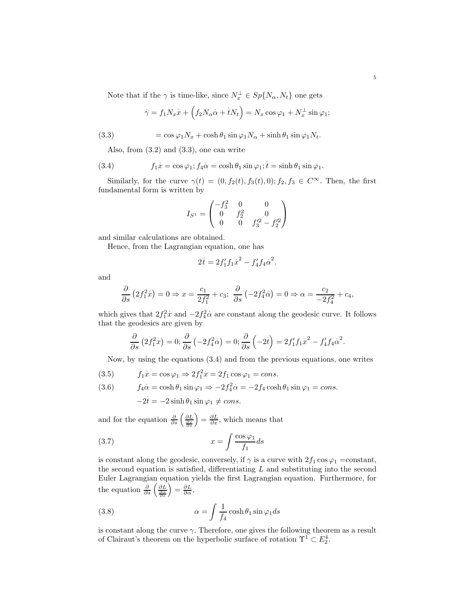Note that if the  $\gamma$  is time-like, since  $N_x^{\perp} \in Sp\{N_\alpha,N_t\}$  one gets

$$
\dot{\gamma} = f_1 N_x \dot{x} + \left( f_2 N_\alpha \dot{\alpha} + i N_t \right) = N_x \cos \varphi_1 + N_x^{\perp} \sin \varphi_1;
$$

(3.3) 
$$
= \cos \varphi_1 N_x + \cosh \theta_1 \sin \varphi_1 N_\alpha + \sinh \theta_1 \sin \varphi_1 N_t.
$$

Also, from (3.2) and (3.3), one can write

(3.4) 
$$
f_1 \dot{x} = \cos \varphi_1; f_4 \dot{\alpha} = \cosh \theta_1 \sin \varphi_1; t = \sinh \theta_1 \sin \varphi_1.
$$

Similarly, for the curve  $\gamma(t) = (0, f_2(t), f_3(t), 0); f_2, f_3 \in C^{\infty}$ . Then, the first fundamental form is written by

$$
I_{S^1} = \begin{pmatrix} -f_3^2 & 0 & 0\\ 0 & f_2^2 & 0\\ 0 & 0 & f_3'^2 - f_2'^2 \end{pmatrix}
$$

and similar calculations are obtained.

Hence, from the Lagrangian equation, one has

$$
2\ddot{t} = 2f'_1f_1\dot{x}^2 - f'_4f_4\dot{\alpha}^2.
$$

and

$$
\frac{\partial}{\partial s} (2f_1^2 \dot{x}) = 0 \Rightarrow x = \frac{c_1}{2f_1^2} + c_3; \ \frac{\partial}{\partial s} (-2f_4^2 \dot{\alpha}) = 0 \Rightarrow \alpha = \frac{c_2}{-2f_4^2} + c_4,
$$

which gives that  $2f_1^2$  $\dot{x}$  and  $-2f_4^2$  $\alpha$  are constant along the geodesic curve. It follows that the geodesics are given by

$$
\frac{\partial}{\partial s} \left( 2 f_1^2 \dot{x} \right) = 0; \frac{\partial}{\partial s} \left( -2 f_4^2 \dot{\alpha} \right) = 0; \frac{\partial}{\partial s} \left( -2 \dot{t} \right) = 2 f_1' f_1 \dot{x}^2 - f_4' f_4 \dot{\alpha}^2.
$$

Now, by using the equations (3.4) and from the previous equations, one writes

(3.5) 
$$
f_1 \dot{x} = \cos \varphi_1 \Rightarrow 2f_1^2 \dot{x} = 2f_1 \cos \varphi_1 = cons.
$$

(3.6) 
$$
f_4\dot{\alpha} = \cosh\theta_1 \sin\varphi_1 \Rightarrow -2f_4^2\dot{\alpha} = -2f_4\cosh\theta_1 \sin\varphi_1 = \text{cons.}
$$

$$
-2t = -2\sinh\theta_1 \sin\varphi_1 \neq \text{cons.}
$$

and for the equation  $\frac{\partial}{\partial s} \left( \frac{\partial L}{\partial s} \right)$  $\left( \frac{\partial L}{\partial x}, \text{ which means that} \right)$ 

$$
(3.7) \t\t x = \int \frac{\cos \varphi_1}{f_1} ds
$$

is constant along the geodesic, conversely, if  $\gamma$  is a curve with  $2f_1 \cos \varphi_1 = constant$ , the second equation is satisfied, differentiating  $L$  and substituting into the second Euler Lagrangian equation yields the first Lagrangian equation. Furthermore, for the equation  $\frac{\partial}{\partial s} \left( \frac{\partial L}{\partial s} \right)$  $\Big) = \frac{\partial L}{\partial \alpha},$ 

(3.8) 
$$
\alpha = \int \frac{1}{f_4} \cosh \theta_1 \sin \varphi_1 ds
$$

is constant along the curve  $\gamma$ . Therefore, one gives the following theorem as a result of Clairaut's theorem on the hyperbolic surface of rotation  $\Upsilon^1 \subset E_2^4$ .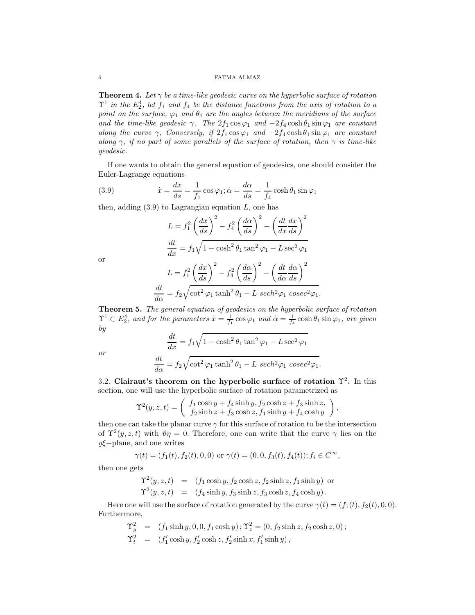## 6 FATMA ALMAZ

**Theorem 4.** Let  $\gamma$  be a time-like geodesic curve on the hyperbolic surface of rotation  $\Upsilon^1$  in the  $E_2^4$ , let  $f_1$  and  $f_4$  be the distance functions from the axis of rotation to a point on the surface,  $\varphi_1$  and  $\theta_1$  are the angles between the meridians of the surface and the time-like geodesic  $\gamma$ . The  $2f_1 \cos \varphi_1$  and  $-2f_4 \cosh \theta_1 \sin \varphi_1$  are constant along the curve  $\gamma$ , Conversely, if  $2f_1 \cos \varphi_1$  and  $-2f_4 \cosh \theta_1 \sin \varphi_1$  are constant along  $\gamma$ , if no part of some parallels of the surface of rotation, then  $\gamma$  is time-like geodesic.

If one wants to obtain the general equation of geodesics, one should consider the Euler-Lagrange equations

(3.9) 
$$
\dot{x} = \frac{dx}{ds} = \frac{1}{f_1} \cos \varphi_1; \dot{\alpha} = \frac{d\alpha}{ds} = \frac{1}{f_4} \cosh \theta_1 \sin \varphi_1
$$

then, adding  $(3.9)$  to Lagrangian equation L, one has

$$
L = f_1^2 \left(\frac{dx}{ds}\right)^2 - f_4^2 \left(\frac{d\alpha}{ds}\right)^2 - \left(\frac{dt}{dx}\frac{dx}{ds}\right)^2
$$

$$
\frac{dt}{dx} = f_1 \sqrt{1 - \cosh^2 \theta_1 \tan^2 \varphi_1 - L \sec^2 \varphi_1}
$$

or

$$
L = f_1^2 \left(\frac{dx}{ds}\right)^2 - f_4^2 \left(\frac{d\alpha}{ds}\right)^2 - \left(\frac{dt}{d\alpha}\frac{d\alpha}{ds}\right)^2
$$

$$
\frac{dt}{d\alpha} = f_2 \sqrt{\cot^2 \varphi_1 \tanh^2 \theta_1 - L \ sech^2 \varphi_1 \ cosec^2 \varphi_1}.
$$

Theorem 5. The general equation of geodesics on the hyperbolic surface of rotation  $\Upsilon^1 \subset E_2^4$ , and for the parameters  $x = \frac{1}{f_1} \cos \varphi_1$  and  $\alpha = \frac{1}{f_4} \cosh \theta_1 \sin \varphi_1$ , are given by

$$
\frac{dt}{dx} = f_1 \sqrt{1 - \cosh^2 \theta_1 \tan^2 \varphi_1 - L \sec^2 \varphi_1}
$$

or

$$
\frac{dt}{d\alpha} = f_2 \sqrt{\cot^2 \varphi_1 \tanh^2 \theta_1 - L \ sech^2 \varphi_1 \ cosec^2 \varphi_1}.
$$

3.2. Clairaut's theorem on the hyperbolic surface of rotation  $\Upsilon^2$ . In this section, one will use the hyperbolic surface of rotation parametrized as

$$
\Upsilon^{2}(y, z, t) = \begin{pmatrix} f_1 \cosh y + f_4 \sinh y, f_2 \cosh z + f_3 \sinh z, \\ f_2 \sinh z + f_3 \cosh z, f_1 \sinh y + f_4 \cosh y \end{pmatrix}
$$

,

then one can take the planar curve  $\gamma$  for this surface of rotation to be the intersection of  $\Upsilon^2(y, z, t)$  with  $\vartheta \eta = 0$ . Therefore, one can write that the curve  $\gamma$  lies on the  $\varrho\xi-\mathrm{plane},$  and one writes

$$
\gamma(t) = (f_1(t), f_2(t), 0, 0) \text{ or } \gamma(t) = (0, 0, f_3(t), f_4(t)); f_i \in C^{\infty},
$$

then one gets

$$
\begin{array}{rcl}\n\Upsilon^2(y,z,t) & = & (f_1 \cosh y, f_2 \cosh z, f_2 \sinh z, f_1 \sinh y) \text{ or} \\
\Upsilon^2(y,z,t) & = & (f_4 \sinh y, f_3 \sinh z, f_3 \cosh z, f_4 \cosh y).\n\end{array}
$$

Here one will use the surface of rotation generated by the curve  $\gamma(t) = (f_1(t), f_2(t), 0, 0)$ . Furthermore,

$$
\begin{aligned}\n\Upsilon_y^2 &= (f_1 \sinh y, 0, 0, f_1 \cosh y); \Upsilon_z^2 = (0, f_2 \sinh z, f_2 \cosh z, 0); \\
\Upsilon_t^2 &= (f_1' \cosh y, f_2' \cosh z, f_2' \sinh x, f_1' \sinh y),\n\end{aligned}
$$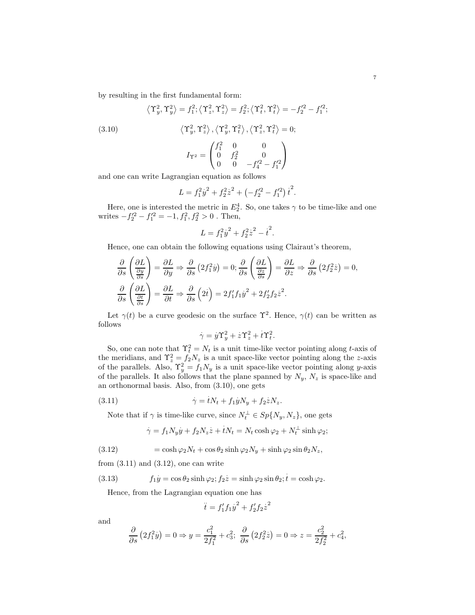by resulting in the first fundamental form:

(3.10)  
\n
$$
\langle \Upsilon_y^2, \Upsilon_y^2 \rangle = f_1^2; \langle \Upsilon_z^2, \Upsilon_z^2 \rangle = f_2^2; \langle \Upsilon_t^2, \Upsilon_t^2 \rangle = -f_2'^2 - f_1'^2;
$$
\n
$$
\langle \Upsilon_y^2, \Upsilon_z^2 \rangle, \langle \Upsilon_y^2, \Upsilon_t^2 \rangle, \langle \Upsilon_z^2, \Upsilon_t^2 \rangle = 0;
$$
\n
$$
I_{\Upsilon^2} = \begin{pmatrix} f_1^2 & 0 & 0 \\ 0 & f_2^2 & 0 \\ 0 & 0 & -f_1'^2 - f_1'^2 \end{pmatrix}
$$

and one can write Lagrangian equation as follows

$$
L = f_1^2 y^2 + f_2^2 z^2 + \left(-f_2'^2 - f_1'^2\right) t^2.
$$

Here, one is interested the metric in  $E_2^4$ . So, one takes  $\gamma$  to be time-like and one writes  $-f_2'^2 - f_1'^2 = -1, f_1^2, f_2^2 > 0$ . Then,

$$
L = f_1^2 y^2 + f_2^2 z^2 - t^2.
$$

Hence, one can obtain the following equations using Clairaut's theorem,

$$
\frac{\partial}{\partial s} \left( \frac{\partial L}{\frac{\partial y}{\partial s}} \right) = \frac{\partial L}{\partial y} \Rightarrow \frac{\partial}{\partial s} \left( 2f_1^2 \dot{y} \right) = 0; \frac{\partial}{\partial s} \left( \frac{\partial L}{\frac{\partial z}{\partial s}} \right) = \frac{\partial L}{\partial z} \Rightarrow \frac{\partial}{\partial s} \left( 2f_2^2 \dot{z} \right) = 0,
$$
  

$$
\frac{\partial}{\partial s} \left( \frac{\partial L}{\frac{\partial t}{\partial s}} \right) = \frac{\partial L}{\partial t} \Rightarrow \frac{\partial}{\partial s} \left( 2\dot{t} \right) = 2f_1' f_1 \dot{y}^2 + 2f_2' f_2 \dot{z}^2.
$$

Let  $\gamma(t)$  be a curve geodesic on the surface  $\Upsilon^2$ . Hence,  $\gamma(t)$  can be written as follows

$$
\dot{\gamma} = y\Upsilon_y^2 + z\Upsilon_z^2 + t\Upsilon_t^2.
$$

So, one can note that  $\Upsilon_t^2 = N_t$  is a unit time-like vector pointing along t-axis of the meridians, and  $\Upsilon_z^2 = f_2 N_z$  is a unit space-like vector pointing along the z-axis of the parallels. Also,  $\Upsilon_y^2 = f_1 N_y$  is a unit space-like vector pointing along y-axis of the parallels. It also follows that the plane spanned by  $N_y$ ,  $N_z$  is space-like and an orthonormal basis. Also, from (3.10), one gets

(3.11) 
$$
\dot{\gamma} = tN_t + f_1\dot{y}N_y + f_2\dot{z}N_z.
$$

Note that if  $\gamma$  is time-like curve, since  $N_t^{\perp} \in Sp(N_y, N_z)$ , one gets

$$
\dot{\gamma} = f_1 N_y \dot{y} + f_2 N_z \dot{z} + t N_t = N_t \cosh \varphi_2 + N_t^{\perp} \sinh \varphi_2;
$$

(3.12) 
$$
= \cosh \varphi_2 N_t + \cos \theta_2 \sinh \varphi_2 N_y + \sinh \varphi_2 \sin \theta_2 N_z,
$$

from  $(3.11)$  and  $(3.12)$ , one can write

(3.13) 
$$
f_1 y = \cos \theta_2 \sinh \varphi_2; f_2 z = \sinh \varphi_2 \sin \theta_2; t = \cosh \varphi_2.
$$

Hence, from the Lagrangian equation one has

$$
\ddot{t} = f_1' f_1 y^2 + f_2' f_2 z^2
$$

and

$$
\frac{\partial}{\partial s} (2f_1^2 \dot{y}) = 0 \Rightarrow y = \frac{c_1^2}{2f_1^2} + c_3^2; \ \frac{\partial}{\partial s} (2f_2^2 \dot{z}) = 0 \Rightarrow z = \frac{c_2^2}{2f_2^2} + c_4^2,
$$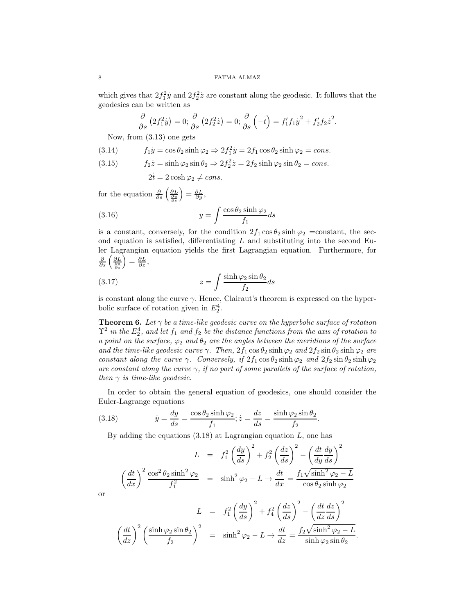which gives that  $2f_1^2$  $\dot{y}$  and  $2f_2^2$  $\dot{z}$  are constant along the geodesic. It follows that the geodesics can be written as

$$
\frac{\partial}{\partial s} (2f_1^2 \dot{y}) = 0; \frac{\partial}{\partial s} (2f_2^2 \dot{z}) = 0; \frac{\partial}{\partial s} (-t) = f_1' f_1 y^2 + f_2' f_2 z^2.
$$

Now, from (3.13) one gets

(3.14) 
$$
f_1 \dot{y} = \cos \theta_2 \sinh \varphi_2 \Rightarrow 2f_1^2 \dot{y} = 2f_1 \cos \theta_2 \sinh \varphi_2 = cons.
$$

(3.15) 
$$
f_2 \dot{z} = \sinh \varphi_2 \sin \theta_2 \Rightarrow 2f_2^2 \dot{z} = 2f_2 \sinh \varphi_2 \sin \theta_2 = \text{cons.}
$$

$$
2t = 2\cosh\varphi_2 \neq cons.
$$

for the equation  $\frac{\partial}{\partial s} \left( \frac{\partial L}{\partial s} \right)$  $\Big) = \frac{\partial L}{\partial y},$ (3.16)  $y = \int \frac{\cos \theta_2 \sinh \varphi_2}{f}$  $\frac{\sinh \varphi_2}{f_1}$  ds

is a constant, conversely, for the condition  $2f_1 \cos \theta_2 \sinh \varphi_2 = \text{constant}$ , the second equation is satisfied, differentiating  $L$  and substituting into the second Euler Lagrangian equation yields the first Lagrangian equation. Furthermore, for  $\frac{\partial}{\partial s}\left(\frac{\partial L}{\frac{\partial z}{\partial s}}\right)$  $\Big) = \frac{\partial L}{\partial z},$ 

(3.17) 
$$
z = \int \frac{\sinh \varphi_2 \sin \theta_2}{f_2} ds
$$

is constant along the curve  $\gamma$ . Hence, Clairaut's theorem is expressed on the hyperbolic surface of rotation given in  $E_2^4$ .

**Theorem 6.** Let  $\gamma$  be a time-like geodesic curve on the hyperbolic surface of rotation  $\Upsilon^2$  in the  $E_2^4$ , and let  $f_1$  and  $f_2$  be the distance functions from the axis of rotation to a point on the surface,  $\varphi_2$  and  $\theta_2$  are the angles between the meridians of the surface and the time-like geodesic curve  $\gamma$ . Then,  $2f_1 \cos \theta_2 \sinh \varphi_2$  and  $2f_2 \sin \theta_2 \sinh \varphi_2$  are constant along the curve  $\gamma$ . Conversely, if  $2f_1 \cos \theta_2 \sinh \varphi_2$  and  $2f_2 \sin \theta_2 \sinh \varphi_2$ are constant along the curve  $\gamma$ , if no part of some parallels of the surface of rotation, then  $\gamma$  is time-like geodesic.

In order to obtain the general equation of geodesics, one should consider the Euler-Lagrange equations

(3.18) 
$$
\dot{y} = \frac{dy}{ds} = \frac{\cos \theta_2 \sinh \varphi_2}{f_1}; \dot{z} = \frac{dz}{ds} = \frac{\sinh \varphi_2 \sin \theta_2}{f_2}.
$$

By adding the equations  $(3.18)$  at Lagrangian equation L, one has

$$
L = f_1^2 \left(\frac{dy}{ds}\right)^2 + f_2^2 \left(\frac{dz}{ds}\right)^2 - \left(\frac{dt}{dy}\frac{dy}{ds}\right)^2
$$

$$
\left(\frac{dt}{dx}\right)^2 \frac{\cos^2 \theta_2 \sinh^2 \varphi_2}{f_1^2} = \sinh^2 \varphi_2 - L \to \frac{dt}{dx} = \frac{f_1 \sqrt{\sinh^2 \varphi_2 - L}}{\cos \theta_2 \sinh \varphi_2}
$$

or

$$
L = f_1^2 \left(\frac{dy}{ds}\right)^2 + f_4^2 \left(\frac{dz}{ds}\right)^2 - \left(\frac{dt}{dz}\frac{dz}{ds}\right)^2
$$

$$
\left(\frac{dt}{dz}\right)^2 \left(\frac{\sinh\varphi_2 \sin\theta_2}{f_2}\right)^2 = \sinh^2\varphi_2 - L \to \frac{dt}{dz} = \frac{f_2\sqrt{\sinh^2\varphi_2 - L}}{\sinh\varphi_2 \sin\theta_2}.
$$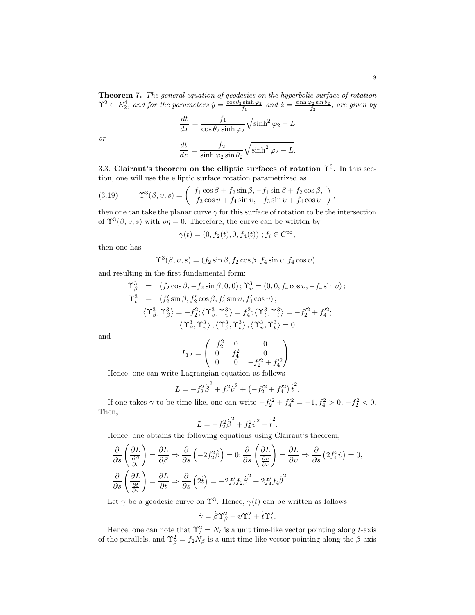**Theorem 7.** The general equation of geodesics on the hyperbolic surface of rotation  $\Upsilon^2 \subset E_2^4$ , and for the parameters  $y = \frac{\cos \theta_2 \sinh \varphi_2}{f_1}$  and  $z = \frac{\sinh \varphi_2 \sinh \varphi_2}{f_2}$ , are given by

$$
\frac{dt}{dx} = \frac{f_1}{\cos \theta_2 \sinh \varphi_2} \sqrt{\sinh^2 \varphi_2 - L}
$$

$$
\frac{dt}{dz} = \frac{f_2}{\sinh \varphi_2 \sin \theta_2} \sqrt{\sinh^2 \varphi_2 - L}.
$$

or

3.3. Clairaut's theorem on the elliptic surfaces of rotation 
$$
\Upsilon^3
$$
. In this section, one will use the elliptic surface rotation parametrized as

(3.19) 
$$
\Upsilon^3(\beta, v, s) = \begin{pmatrix} f_1 \cos \beta + f_2 \sin \beta, -f_1 \sin \beta + f_2 \cos \beta, \\ f_3 \cos v + f_4 \sin v, -f_3 \sin v + f_4 \cos v \end{pmatrix},
$$

then one can take the planar curve  $\gamma$  for this surface of rotation to be the intersection of  $\Upsilon^3(\beta, v, s)$  with  $\varrho \eta = 0$ . Therefore, the curve can be written by

$$
\gamma(t) = (0, f_2(t), 0, f_4(t)) \; ; f_i \in C^{\infty},
$$

then one has

$$
\Upsilon^3(\beta, v, s) = (f_2 \sin \beta, f_2 \cos \beta, f_4 \sin v, f_4 \cos v)
$$

and resulting in the first fundamental form:

$$
\begin{array}{rcl}\n\Upsilon_{\beta}^3 & = & \left(f_2 \cos \beta, -f_2 \sin \beta, 0, 0\right); \Upsilon_{\upsilon}^3 = \left(0, 0, f_4 \cos \upsilon, -f_4 \sin \upsilon\right); \\
\Upsilon_{t}^3 & = & \left(f_2' \sin \beta, f_2' \cos \beta, f_4' \sin \upsilon, f_4' \cos \upsilon\right); \\
& \left\langle \Upsilon_{\beta}^3, \Upsilon_{\beta}^3 \right\rangle = -f_2^2; \left\langle \Upsilon_{\upsilon}^3, \Upsilon_{\upsilon}^3 \right\rangle = f_4^2; \left\langle \Upsilon_{\upsilon}^3, \Upsilon_{\upsilon}^3 \right\rangle = -f_2'^2 + f_4'^2; \\
& \left\langle \Upsilon_{\beta}^3, \Upsilon_{\upsilon}^3 \right\rangle, \left\langle \Upsilon_{\beta}^3, \Upsilon_{\upsilon}^3 \right\rangle, \left\langle \Upsilon_{\upsilon}^3, \Upsilon_{\upsilon}^3 \right\rangle = 0\n\end{array}
$$

and

$$
I_{\Upsilon^3} = \begin{pmatrix} -f_2^2 & 0 & 0 \\ 0 & f_4^2 & 0 \\ 0 & 0 & -f_2'^2 + f_4'^2 \end{pmatrix}.
$$

Hence, one can write Lagrangian equation as follows

$$
L = -f_2^2 \dot{\beta}^2 + f_4^2 \dot{v}^2 + \left(-f_2'^2 + f_4'^2\right) \dot{t}^2.
$$

If one takes  $\gamma$  to be time-like, one can write  $-f_2'^2 + f_4'^2 = -1, f_4^2 > 0, -f_2^2 < 0$ . Then,

$$
L = -f_2^2 \dot{\beta}^2 + f_4^2 \dot{v}^2 - \dot{t}^2.
$$

Hence, one obtains the following equations using Clairaut's theorem,

$$
\frac{\partial}{\partial s} \left( \frac{\partial L}{\frac{\partial \beta}{\partial s}} \right) = \frac{\partial L}{\partial \beta} \Rightarrow \frac{\partial}{\partial s} \left( -2f_2^2 \beta \right) = 0; \frac{\partial}{\partial s} \left( \frac{\partial L}{\frac{\partial v}{\partial s}} \right) = \frac{\partial L}{\partial v} \Rightarrow \frac{\partial}{\partial s} \left( 2f_4^2 \dot{v} \right) = 0,
$$
  

$$
\frac{\partial}{\partial s} \left( \frac{\partial L}{\frac{\partial t}{\partial s}} \right) = \frac{\partial L}{\partial t} \Rightarrow \frac{\partial}{\partial s} \left( 2\dot{t} \right) = -2f_2' f_2 \dot{\beta}^2 + 2f_4' f_4 \dot{\theta}^2.
$$

Let  $\gamma$  be a geodesic curve on  $\Upsilon^3$ . Hence,  $\gamma(t)$  can be written as follows

$$
\dot{\gamma} = \dot{\beta}\Upsilon_{\beta}^2 + \dot{\upsilon}\Upsilon_{\upsilon}^2 + \dot{t}\Upsilon_t^2.
$$

Hence, one can note that  $\Upsilon_t^2 = N_t$  is a unit time-like vector pointing along t-axis of the parallels, and  $\Upsilon_{\beta}^2 = f_2 N_{\beta}$  is a unit time-like vector pointing along the  $\beta$ -axis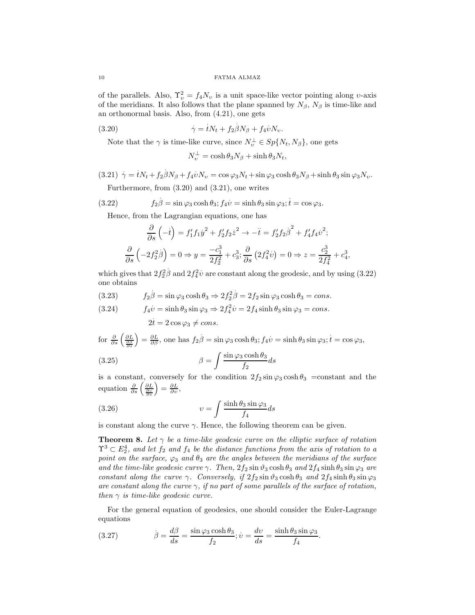of the parallels. Also,  $\Upsilon_v^2 = f_4 N_v$  is a unit space-like vector pointing along v-axis of the meridians. It also follows that the plane spanned by  $N_{\beta}$ ,  $N_{\beta}$  is time-like and an orthonormal basis. Also, from (4.21), one gets

(3.20) 
$$
\dot{\gamma} = tN_t + f_2\beta N_\beta + f_4\dot{\nu}N_\nu.
$$

Note that the  $\gamma$  is time-like curve, since  $N_v^{\perp} \in Sp(N_t, N_\beta)$ , one gets

$$
N^\perp_v = \cosh \theta_3 N_\beta + \sinh \theta_3 N_t,
$$

(3.21) 
$$
\dot{\gamma} = iN_t + f_2\beta N_\beta + f_4\dot{v}N_v = \cos\varphi_3 N_t + \sin\varphi_3 \cosh\theta_3 N_\beta + \sinh\theta_3 \sin\varphi_3 N_v.
$$
 Furthermore, from (3.20) and (3.21), one writes

 $(3.22)$  $\beta = \sin \varphi_3 \cosh \theta_3$ ;  $f_4 v = \sinh \theta_3 \sin \varphi_3$ ;  $t = \cos \varphi_3$ .

Hence, from the Lagrangian equations, one has

$$
\frac{\partial}{\partial s} \left( -\dot{t} \right) = f_1' f_1 \dot{y}^2 + f_2' f_2 \dot{z}^2 \to -\ddot{t} = f_2' f_2 \dot{\beta}^2 + f_4' f_4 \dot{v}^2;
$$
  

$$
\frac{\partial}{\partial s} \left( -2 f_2^2 \dot{\beta} \right) = 0 \Rightarrow y = \frac{-c_1^3}{2 f_2^2} + c_3^3; \frac{\partial}{\partial s} \left( 2 f_4^2 \dot{v} \right) = 0 \Rightarrow z = \frac{c_2^3}{2 f_4^2} + c_4^3,
$$

which gives that  $2f_2^2$  $\stackrel{\cdot}{\beta}$  and  $2f_4^2$  $\dot{v}$  are constant along the geodesic, and by using  $(3.22)$ one obtains . .

(3.23) 
$$
f_2\dot{\beta} = \sin\varphi_3 \cosh\theta_3 \Rightarrow 2f_2^2\beta = 2f_2\sin\varphi_3 \cosh\theta_3 = cons.
$$

(3.24) 
$$
f_4 \dot{v} = \sinh \theta_3 \sin \varphi_3 \Rightarrow 2f_4^2 \dot{v} = 2f_4 \sinh \theta_3 \sin \varphi_3 = \text{cons.}
$$

$$
2\dot{t} = 2 \cos \varphi_3 \neq \text{cons.}
$$

for 
$$
\frac{\partial}{\partial s} \left( \frac{\partial L}{\partial s} \right) = \frac{\partial L}{\partial \beta}
$$
, one has  $f_2 \dot{\beta} = \sin \varphi_3 \cosh \theta_3$ ;  $f_4 \dot{v} = \sinh \theta_3 \sin \varphi_3$ ;  $\dot{t} = \cos \varphi_3$ ,

(3.25) 
$$
\beta = \int \frac{\sin \varphi_3 \cosh \theta_3}{f_2} ds
$$

is a constant, conversely for the condition  $2f_2 \sin \varphi_3 \cosh \theta_3 = \text{constant}$  and the equation  $\frac{\partial}{\partial s} \left( \frac{\partial L}{\partial s} \right)$  $\Big) = \frac{\partial L}{\partial v},$ 

(3.26) 
$$
v = \int \frac{\sinh \theta_3 \sin \varphi_3}{f_4} ds
$$

is constant along the curve  $\gamma$ . Hence, the following theorem can be given.

**Theorem 8.** Let  $\gamma$  be a time-like geodesic curve on the elliptic surface of rotation  $\Upsilon^3 \subset E_2^4$ , and let  $f_2$  and  $f_4$  be the distance functions from the axis of rotation to a point on the surface,  $\varphi_3$  and  $\theta_3$  are the angles between the meridians of the surface and the time-like geodesic curve  $\gamma$ . Then,  $2f_2 \sin \vartheta_3 \cosh \vartheta_3$  and  $2f_4 \sinh \vartheta_3 \sin \varphi_3$  are constant along the curve  $\gamma$ . Conversely, if  $2f_2 \sin \vartheta_3 \cosh \vartheta_3$  and  $2f_4 \sinh \vartheta_3 \sin \varphi_3$ are constant along the curve  $\gamma$ , if no part of some parallels of the surface of rotation, then  $\gamma$  is time-like geodesic curve.

For the general equation of geodesics, one should consider the Euler-Lagrange equations

(3.27) 
$$
\beta = \frac{d\beta}{ds} = \frac{\sin\varphi_3 \cosh\theta_3}{f_2}; \dot{v} = \frac{dv}{ds} = \frac{\sinh\theta_3 \sin\varphi_3}{f_4}.
$$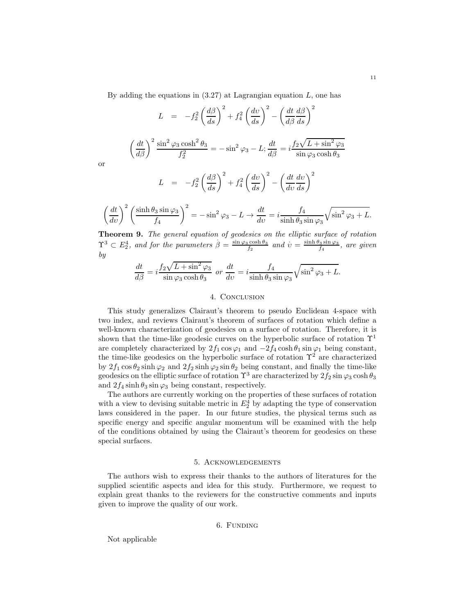By adding the equations in  $(3.27)$  at Lagrangian equation L, one has

$$
L = -f_2^2 \left(\frac{d\beta}{ds}\right)^2 + f_4^2 \left(\frac{dv}{ds}\right)^2 - \left(\frac{dt}{d\beta}\frac{d\beta}{ds}\right)^2
$$

$$
\left(\frac{dt}{d\beta}\right)^2 \frac{\sin^2 \varphi_3 \cosh^2 \theta_3}{f_2^2} = -\sin^2 \varphi_3 - L; \frac{dt}{d\beta} = i \frac{f_2 \sqrt{L + \sin^2 \varphi_3}}{\sin \varphi_3 \cosh \theta_3}
$$

$$
L = -f_2^2 \left(\frac{d\beta}{ds}\right)^2 + f_4^2 \left(\frac{dv}{ds}\right)^2 - \left(\frac{dt}{dv}\frac{dv}{ds}\right)^2
$$

$$
\left(\frac{dt}{dv}\right)^2 \left(\frac{\sinh \theta_3 \sin \varphi_3}{f_4}\right)^2 = -\sin^2 \varphi_3 - L \to \frac{dt}{dv} = i \frac{f_4}{\sinh \theta_3 \sin \varphi_3} \sqrt{\sin^2 \varphi_3 + L}.
$$

Theorem 9. The general equation of geodesics on the elliptic surface of rotation  $\Upsilon^3 \subset E_2^4$ , and for the parameters  $\beta = \frac{\sin \varphi_3 \cosh \theta_3}{f_2}$  and  $\dot{v} = \frac{\sinh \theta_3 \sin \varphi_3}{f_4}$ , are given by

$$
\frac{dt}{d\beta} = i \frac{f_2 \sqrt{L + \sin^2 \varphi_3}}{\sin \varphi_3 \cosh \theta_3} \text{ or } \frac{dt}{dv} = i \frac{f_4}{\sinh \theta_3 \sin \varphi_3} \sqrt{\sin^2 \varphi_3 + L}.
$$

## 4. CONCLUSION

This study generalizes Clairaut's theorem to pseudo Euclidean 4-space with two index, and reviews Clairaut's theorem of surfaces of rotation which define a well-known characterization of geodesics on a surface of rotation. Therefore, it is shown that the time-like geodesic curves on the hyperbolic surface of rotation  $\Upsilon^1$ are completely characterized by  $2f_1 \cos \varphi_1$  and  $-2f_4 \cosh \theta_1 \sin \varphi_1$  being constant, the time-like geodesics on the hyperbolic surface of rotation  $\Upsilon^2$  are characterized by  $2f_1 \cos \theta_2 \sinh \varphi_2$  and  $2f_2 \sinh \varphi_2 \sin \theta_2$  being constant, and finally the time-like geodesics on the elliptic surface of rotation  $\Upsilon^3$  are characterized by  $2f_2 \sin \varphi_3 \cosh \theta_3$ and  $2f_4 \sinh \theta_3 \sin \varphi_3$  being constant, respectively.

The authors are currently working on the properties of these surfaces of rotation with a view to devising suitable metric in  $E_2^4$  by adapting the type of conservation laws considered in the paper. In our future studies, the physical terms such as specific energy and specific angular momentum will be examined with the help of the conditions obtained by using the Clairaut's theorem for geodesics on these special surfaces.

# 5. Acknowledgements

The authors wish to express their thanks to the authors of literatures for the supplied scientific aspects and idea for this study. Furthermore, we request to explain great thanks to the reviewers for the constructive comments and inputs given to improve the quality of our work.

## 6. Funding

Not applicable

or